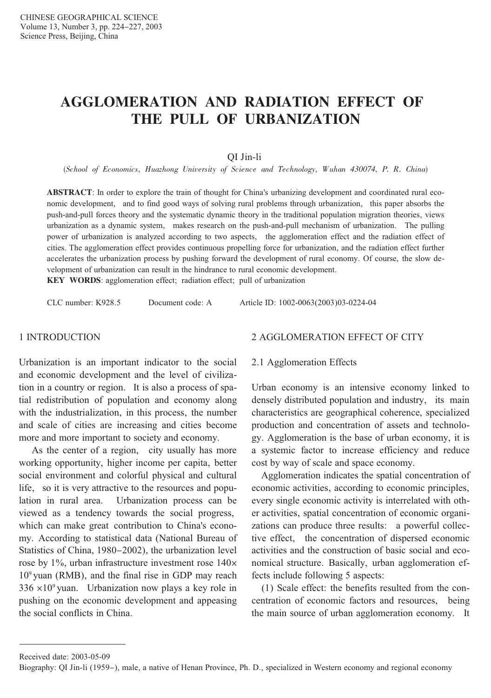# **AGGLOMERATION AND RADIATION EFFECT OF** THE PULL OF URBANIZATION

OI Jin-li

(School of Economics, Huazhong University of Science and Technology, Wuhan 430074, P. R. China)

**ABSTRACT**: In order to explore the train of thought for China's urbanizing development and coordinated rural economic development, and to find good ways of solving rural problems through urbanization, this paper absorbs the push-and-pull forces theory and the systematic dynamic theory in the traditional population migration theories, views urbanization as a dynamic system, makes research on the push-and-pull mechanism of urbanization. The pulling power of urbanization is analyzed according to two aspects, the agglomeration effect and the radiation effect of cities. The agglomeration effect provides continuous propelling force for urbanization, and the radiation effect further accelerates the urbanization process by pushing forward the development of rural economy. Of course, the slow development of urbanization can result in the hindrance to rural economic development.

KEY WORDS: agglomeration effect; radiation effect; pull of urbanization

CLC number: K928.5

Document code: A

Article ID: 1002-0063(2003)03-0224-04

#### 1 INTRODUCTION

Urbanization is an important indicator to the social and economic development and the level of civilization in a country or region. It is also a process of spatial redistribution of population and economy along with the industrialization, in this process, the number and scale of cities are increasing and cities become more and more important to society and economy.

As the center of a region, city usually has more working opportunity, higher income per capita, better social environment and colorful physical and cultural life, so it is very attractive to the resources and population in rural area. Urbanization process can be viewed as a tendency towards the social progress, which can make great contribution to China's economy. According to statistical data (National Bureau of Statistics of China, 1980–2002), the urbanization level rose by  $1\%$ , urban infrastructure investment rose  $140\times$  $10<sup>9</sup>$  yuan (RMB), and the final rise in GDP may reach  $336 \times 10^9$  yuan. Urbanization now plays a key role in pushing on the economic development and appeasing the social conflicts in China.

#### 2 AGGLOMERATION EFFECT OF CITY

#### 2.1 Agglomeration Effects

Urban economy is an intensive economy linked to densely distributed population and industry, its main characteristics are geographical coherence, specialized production and concentration of assets and technology. Agglomeration is the base of urban economy, it is a systemic factor to increase efficiency and reduce cost by way of scale and space economy.

Agglomeration indicates the spatial concentration of economic activities, according to economic principles, every single economic activity is interrelated with other activities, spatial concentration of economic organizations can produce three results: a powerful collective effect. the concentration of dispersed economic activities and the construction of basic social and economical structure. Basically, urban agglomeration effects include following 5 aspects:

(1) Scale effect: the benefits resulted from the concentration of economic factors and resources, being the main source of urban agglomeration economy. It

Received date: 2003-05-09

Biography: QI Jin-li (1959–), male, a native of Henan Province, Ph. D., specialized in Western economy and regional economy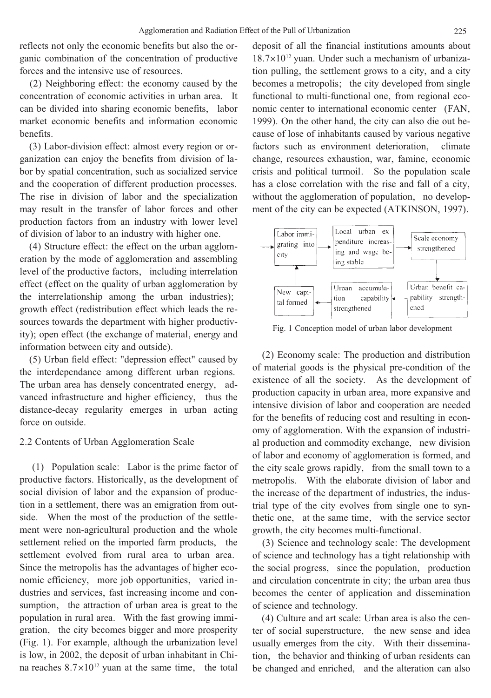reflects not only the economic benefits but also the organic combination of the concentration of productive forces and the intensive use of resources.

(2) Neighboring effect: the economy caused by the concentration of economic activities in urban area. It can be divided into sharing economic benefits, labor market economic benefits and information economic henefits

(3) Labor-division effect: almost every region or organization can enjoy the benefits from division of labor by spatial concentration, such as socialized service and the cooperation of different production processes. The rise in division of labor and the specialization may result in the transfer of labor forces and other production factors from an industry with lower level of division of labor to an industry with higher one.

(4) Structure effect: the effect on the urban agglomeration by the mode of agglomeration and assembling level of the productive factors, including interrelation effect (effect on the quality of urban agglomeration by the interrelationship among the urban industries); growth effect (redistribution effect which leads the resources towards the department with higher productivity); open effect (the exchange of material, energy and information between city and outside).

(5) Urban field effect: "depression effect" caused by the interdependance among different urban regions. The urban area has densely concentrated energy, advanced infrastructure and higher efficiency, thus the distance-decay regularity emerges in urban acting force on outside.

#### 2.2 Contents of Urban Agglomeration Scale

(1) Population scale: Labor is the prime factor of productive factors. Historically, as the development of social division of labor and the expansion of production in a settlement, there was an emigration from outside. When the most of the production of the settlement were non-agricultural production and the whole settlement relied on the imported farm products, the settlement evolved from rural area to urban area. Since the metropolis has the advantages of higher economic efficiency, more job opportunities, varied industries and services, fast increasing income and consumption, the attraction of urban area is great to the population in rural area. With the fast growing immigration, the city becomes bigger and more prosperity (Fig. 1). For example, although the urbanization level is low, in 2002, the deposit of urban inhabitant in China reaches  $8.7 \times 10^{12}$  yuan at the same time, the total deposit of all the financial institutions amounts about 18.7×10<sup>12</sup> yuan. Under such a mechanism of urbanization pulling, the settlement grows to a city, and a city becomes a metropolis; the city developed from single functional to multi-functional one, from regional economic center to international economic center (FAN, 1999). On the other hand, the city can also die out because of lose of inhabitants caused by various negative factors such as environment deterioration. climate change, resources exhaustion, war, famine, economic crisis and political turmoil. So the population scale has a close correlation with the rise and fall of a city, without the agglomeration of population, no development of the city can be expected (ATKINSON, 1997).



Fig. 1 Conception model of urban labor development

(2) Economy scale: The production and distribution of material goods is the physical pre-condition of the existence of all the society. As the development of production capacity in urban area, more expansive and intensive division of labor and cooperation are needed for the benefits of reducing cost and resulting in economy of agglomeration. With the expansion of industrial production and commodity exchange, new division of labor and economy of agglomeration is formed, and the city scale grows rapidly, from the small town to a metropolis. With the elaborate division of labor and the increase of the department of industries, the industrial type of the city evolves from single one to synthetic one, at the same time, with the service sector growth, the city becomes multi-functional.

(3) Science and technology scale: The development of science and technology has a tight relationship with the social progress, since the population, production and circulation concentrate in city; the urban area thus becomes the center of application and dissemination of science and technology.

(4) Culture and art scale: Urban area is also the center of social superstructure, the new sense and idea usually emerges from the city. With their dissemination, the behavior and thinking of urban residents can be changed and enriched, and the alteration can also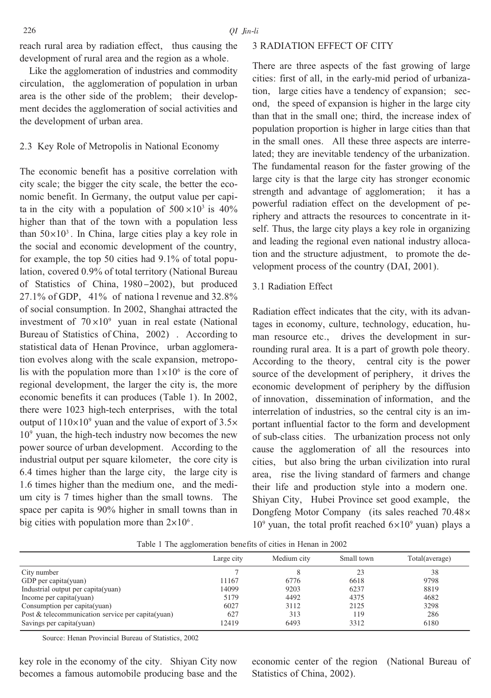reach rural area by radiation effect, thus causing the development of rural area and the region as a whole.

Like the agglomeration of industries and commodity circulation, the agglomeration of population in urban area is the other side of the problem; their development decides the agglomeration of social activities and the development of urban area.

# 2.3 Key Role of Metropolis in National Economy

The economic benefit has a positive correlation with city scale; the bigger the city scale, the better the economic benefit. In Germany, the output value per capita in the city with a population of  $500 \times 10^3$  is  $40\%$ higher than that of the town with a population less than  $50 \times 10^3$ . In China, large cities play a key role in the social and economic development of the country, for example, the top 50 cities had  $9.1\%$  of total population, covered 0.9% of total territory (National Bureau of Statistics of China, 1980-2002), but produced  $27.1\%$  of GDP, 41% of national revenue and 32.8% of social consumption. In 2002, Shanghai attracted the investment of  $70 \times 10^9$  yuan in real estate (National Bureau of Statistics of China, 2002). According to statistical data of Henan Province, urban agglomeration evolves along with the scale expansion, metropolis with the population more than  $1 \times 10^6$  is the core of regional development, the larger the city is, the more economic benefits it can produces (Table 1). In 2002, there were 1023 high-tech enterprises, with the total output of  $110\times10^9$  yuan and the value of export of 3.5 $\times$  $10<sup>9</sup>$  yuan, the high-tech industry now becomes the new power source of urban development. According to the industrial output per square kilometer, the core city is 6.4 times higher than the large city, the large city is 1.6 times higher than the medium one, and the medium city is 7 times higher than the small towns. The space per capita is 90% higher in small towns than in big cities with population more than  $2 \times 10^6$ .

## **3 RADIATION EFFECT OF CITY**

There are three aspects of the fast growing of large cities: first of all, in the early-mid period of urbanization, large cities have a tendency of expansion; second, the speed of expansion is higher in the large city than that in the small one: third, the increase index of population proportion is higher in large cities than that in the small ones. All these three aspects are interrelated; they are inevitable tendency of the urbanization. The fundamental reason for the faster growing of the large city is that the large city has stronger economic strength and advantage of agglomeration; it has a powerful radiation effect on the development of periphery and attracts the resources to concentrate in itself. Thus, the large city plays a key role in organizing and leading the regional even national industry allocation and the structure adjustment, to promote the development process of the country (DAI, 2001).

## 3.1 Radiation Effect

Radiation effect indicates that the city, with its advantages in economy, culture, technology, education, human resource etc., drives the development in surrounding rural area. It is a part of growth pole theory. According to the theory, central city is the power source of the development of periphery, it drives the economic development of periphery by the diffusion of innovation, dissemination of information, and the interrelation of industries, so the central city is an important influential factor to the form and development of sub-class cities. The urbanization process not only cause the agglomeration of all the resources into cities, but also bring the urban civilization into rural area, rise the living standard of farmers and change their life and production style into a modern one. Shiyan City, Hubei Province set good example, the Dongfeng Motor Company (its sales reached 70.48×  $10^9$  yuan, the total profit reached  $6\times10^9$  yuan) plays a

|                                                    | Large city | Medium city | Small town | Total(average) |
|----------------------------------------------------|------------|-------------|------------|----------------|
| City number                                        |            | 8           | 23         | 38             |
| GDP per capita(yuan)                               | 11167      | 6776        | 6618       | 9798           |
| Industrial output per capita(yuan)                 | 14099      | 9203        | 6237       | 8819           |
| Income per capita(yuan)                            | 5179       | 4492        | 4375       | 4682           |
| Consumption per capita(yuan)                       | 6027       | 3112        | 2125       | 3298           |
| Post & telecommunication service per capita (yuan) | 627        | 313         | 119        | 286            |
| Savings per capita(yuan)                           | 12419      | 6493        | 3312       | 6180           |

Table 1 The agglomeration benefits of cities in Henan in 2002

Source: Henan Provincial Bureau of Statistics, 2002

key role in the economy of the city. Shiyan City now becomes a famous automobile producing base and the economic center of the region (National Bureau of Statistics of China, 2002).